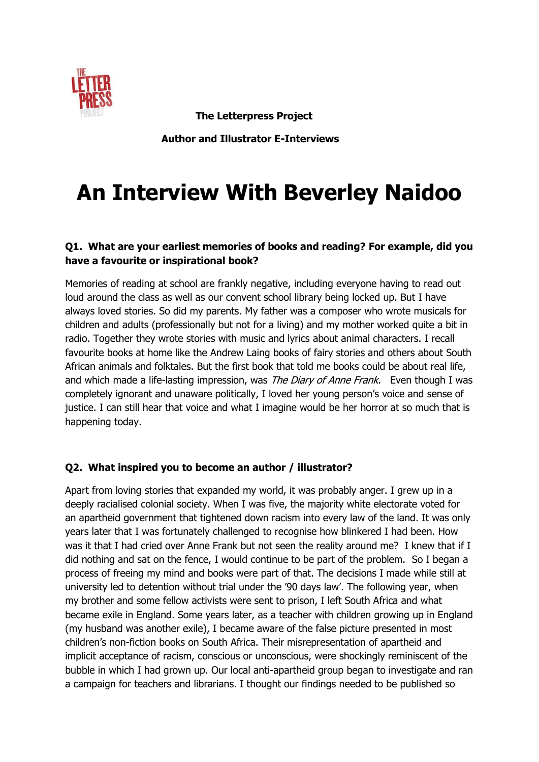

 **The Letterpress Project** 

 **Author and Illustrator E-Interviews**

# **An Interview With Beverley Naidoo**

## **Q1. What are your earliest memories of books and reading? For example, did you have a favourite or inspirational book?**

Memories of reading at school are frankly negative, including everyone having to read out loud around the class as well as our convent school library being locked up. But I have always loved stories. So did my parents. My father was a composer who wrote musicals for children and adults (professionally but not for a living) and my mother worked quite a bit in radio. Together they wrote stories with music and lyrics about animal characters. I recall favourite books at home like the Andrew Laing books of fairy stories and others about South African animals and folktales. But the first book that told me books could be about real life, and which made a life-lasting impression, was *The Diary of Anne Frank*. Even though I was completely ignorant and unaware politically, I loved her young person's voice and sense of justice. I can still hear that voice and what I imagine would be her horror at so much that is happening today.

## **Q2. What inspired you to become an author / illustrator?**

Apart from loving stories that expanded my world, it was probably anger. I grew up in a deeply racialised colonial society. When I was five, the majority white electorate voted for an apartheid government that tightened down racism into every law of the land. It was only years later that I was fortunately challenged to recognise how blinkered I had been. How was it that I had cried over Anne Frank but not seen the reality around me? I knew that if I did nothing and sat on the fence, I would continue to be part of the problem. So I began a process of freeing my mind and books were part of that. The decisions I made while still at university led to detention without trial under the '90 days law'. The following year, when my brother and some fellow activists were sent to prison, I left South Africa and what became exile in England. Some years later, as a teacher with children growing up in England (my husband was another exile), I became aware of the false picture presented in most children's non-fiction books on South Africa. Their misrepresentation of apartheid and implicit acceptance of racism, conscious or unconscious, were shockingly reminiscent of the bubble in which I had grown up. Our local anti-apartheid group began to investigate and ran a campaign for teachers and librarians. I thought our findings needed to be published so